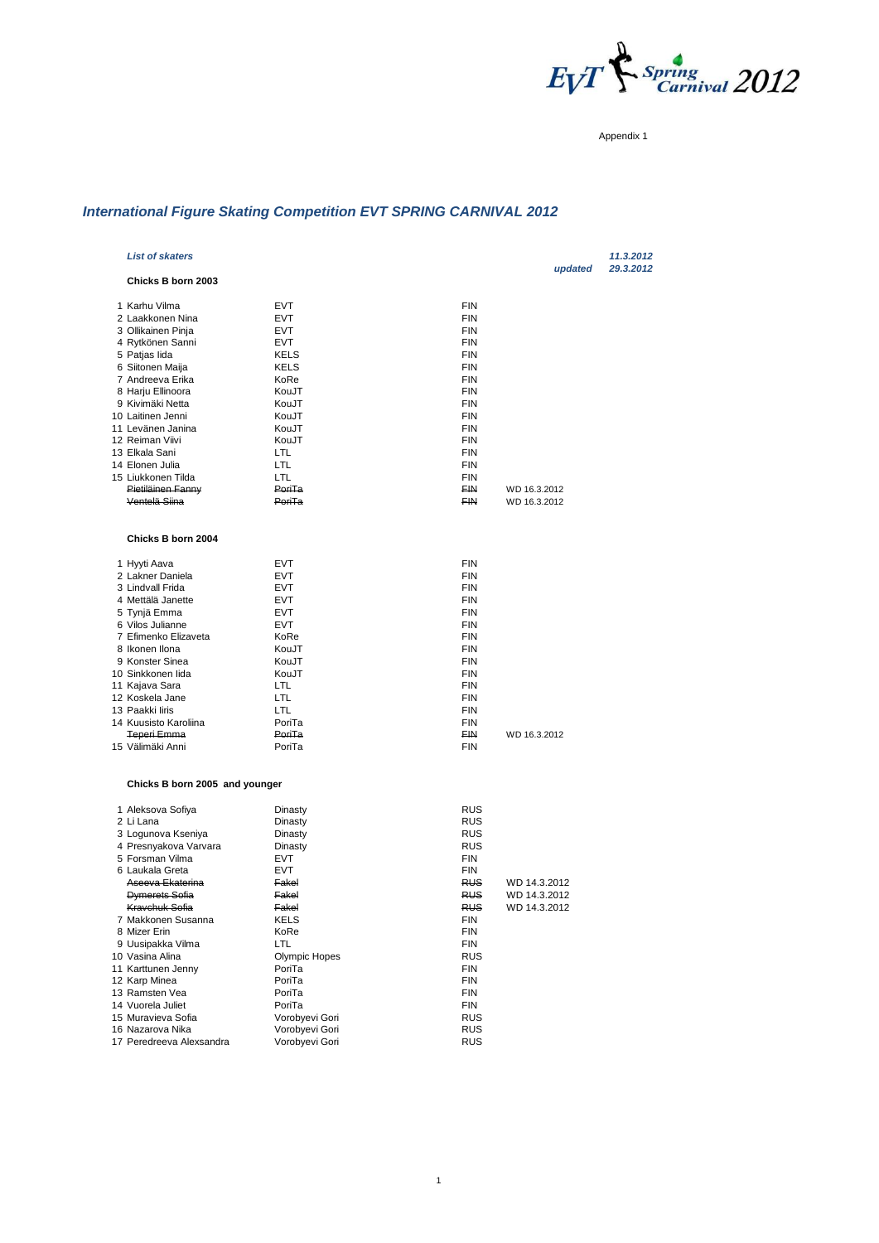

Appendix 1

# *International Figure Skating Competition EVT SPRING CARNIVAL 2012*

| <b>List of skaters</b>         |                      |                         |              | updated | 11.3.2012<br>29.3.2012 |
|--------------------------------|----------------------|-------------------------|--------------|---------|------------------------|
| Chicks B born 2003             |                      |                         |              |         |                        |
| 1 Karhu Vilma                  | <b>EVT</b>           | <b>FIN</b>              |              |         |                        |
| 2 Laakkonen Nina               | <b>EVT</b>           | <b>FIN</b>              |              |         |                        |
| 3 Ollikainen Pinja             | <b>EVT</b>           | FIN                     |              |         |                        |
| 4 Rytkönen Sanni               | <b>EVT</b>           | <b>FIN</b>              |              |         |                        |
| 5 Patjas lida                  | <b>KELS</b>          | FIN                     |              |         |                        |
| 6 Siitonen Maija               | <b>KELS</b>          | <b>FIN</b>              |              |         |                        |
| 7 Andreeva Erika               | KoRe                 | <b>FIN</b>              |              |         |                        |
| 8 Harju Ellinoora              | KouJT                | <b>FIN</b>              |              |         |                        |
| 9 Kivimäki Netta               | KouJT                | FIN                     |              |         |                        |
| 10 Laitinen Jenni              | KouJT                | <b>FIN</b>              |              |         |                        |
| 11 Levänen Janina              | KouJT                | <b>FIN</b>              |              |         |                        |
| 12 Reiman Viivi                | KouJT                | <b>FIN</b>              |              |         |                        |
| 13 Elkala Sani                 | LTL                  | <b>FIN</b>              |              |         |                        |
| 14 Elonen Julia                | LTL                  | <b>FIN</b>              |              |         |                        |
| 15 Liukkonen Tilda             | <b>LTL</b><br>PoriTa | FIN<br>FIN <sub>1</sub> |              |         |                        |
| Pietiläinen Fanny              |                      |                         | WD 16.3.2012 |         |                        |
| Ventelä Siina                  | PoriTa               | FIN                     | WD 16.3.2012 |         |                        |
| Chicks B born 2004             |                      |                         |              |         |                        |
| 1 Hyyti Aava                   | <b>EVT</b>           | <b>FIN</b>              |              |         |                        |
| 2 Lakner Daniela               | <b>EVT</b>           | <b>FIN</b>              |              |         |                        |
| 3 Lindvall Frida               | EVT                  | FIN                     |              |         |                        |
| 4 Mettälä Janette              | <b>EVT</b>           | FIN                     |              |         |                        |
| 5 Tynjä Emma                   | <b>EVT</b>           | <b>FIN</b>              |              |         |                        |
| 6 Vilos Julianne               | <b>EVT</b>           | FIN                     |              |         |                        |
| 7 Efimenko Elizaveta           | KoRe                 | <b>FIN</b>              |              |         |                        |
| 8 Ikonen Ilona                 | KouJT                | FIN                     |              |         |                        |
| 9 Konster Sinea                | KouJT                | <b>FIN</b>              |              |         |                        |
| 10 Sinkkonen lida              | KouJT                | FIN                     |              |         |                        |
| 11 Kajava Sara                 | LTL                  | FIN                     |              |         |                        |
| 12 Koskela Jane                | LTL                  | <b>FIN</b>              |              |         |                        |
| 13 Paakki liris                | LTL                  | <b>FIN</b>              |              |         |                        |
| 14 Kuusisto Karoliina          | PoriTa               | FIN                     |              |         |                        |
| Teperi Emma                    | PoriTa               | FIN                     | WD 16.3.2012 |         |                        |
| 15 Välimäki Anni               | PoriTa               | <b>FIN</b>              |              |         |                        |
| Chicks B born 2005 and younger |                      |                         |              |         |                        |
| 1 Aleksova Sofiya              | Dinasty              | <b>RUS</b>              |              |         |                        |
| 2 Li Lana                      | Dinasty              | <b>RUS</b>              |              |         |                        |
| 3 Logunova Kseniya             | Dinasty              | <b>RUS</b>              |              |         |                        |
| 4 Presnyakova Varvara          | Dinasty              | <b>RUS</b>              |              |         |                        |
| 5 Forsman Vilma                | EVT                  | FIN                     |              |         |                        |
| 6 Laukala Greta                | <b>EVT</b>           | FIN                     |              |         |                        |
| Aseeva Ekaterina               | Fakel                | <b>RUS</b>              | WD 14.3.2012 |         |                        |
| Dymerets Sofia                 | Fakel                | RUS                     | WD 14.3.2012 |         |                        |
| Kravchuk Sofia                 | Fakel                | <b>RUS</b>              | WD 14.3.2012 |         |                        |
| 7 Makkonen Susanna             | KELS                 | FIN                     |              |         |                        |
| 8 Mizer Erin                   | KoRe                 | FIN                     |              |         |                        |
| 9 Uusipakka Vilma              | LTL                  | FIN                     |              |         |                        |
| 10 Vasina Alina                | Olympic Hopes        | <b>RUS</b>              |              |         |                        |
| 11 Karttunen Jenny             | PoriTa               | FIN                     |              |         |                        |
| 12 Karp Minea                  | PoriTa               | FIN                     |              |         |                        |
| 13 Ramsten Vea                 | PoriTa               | FIN                     |              |         |                        |
| 14 Vuorela Juliet              | PoriTa               | FIN                     |              |         |                        |
| 15 Muravieva Sofia             | Vorobyevi Gori       | <b>RUS</b>              |              |         |                        |
| 16 Nazarova Nika               | Vorobyevi Gori       | <b>RUS</b>              |              |         |                        |
| 17 Peredreeva Alexsandra       | Vorobyevi Gori       | <b>RUS</b>              |              |         |                        |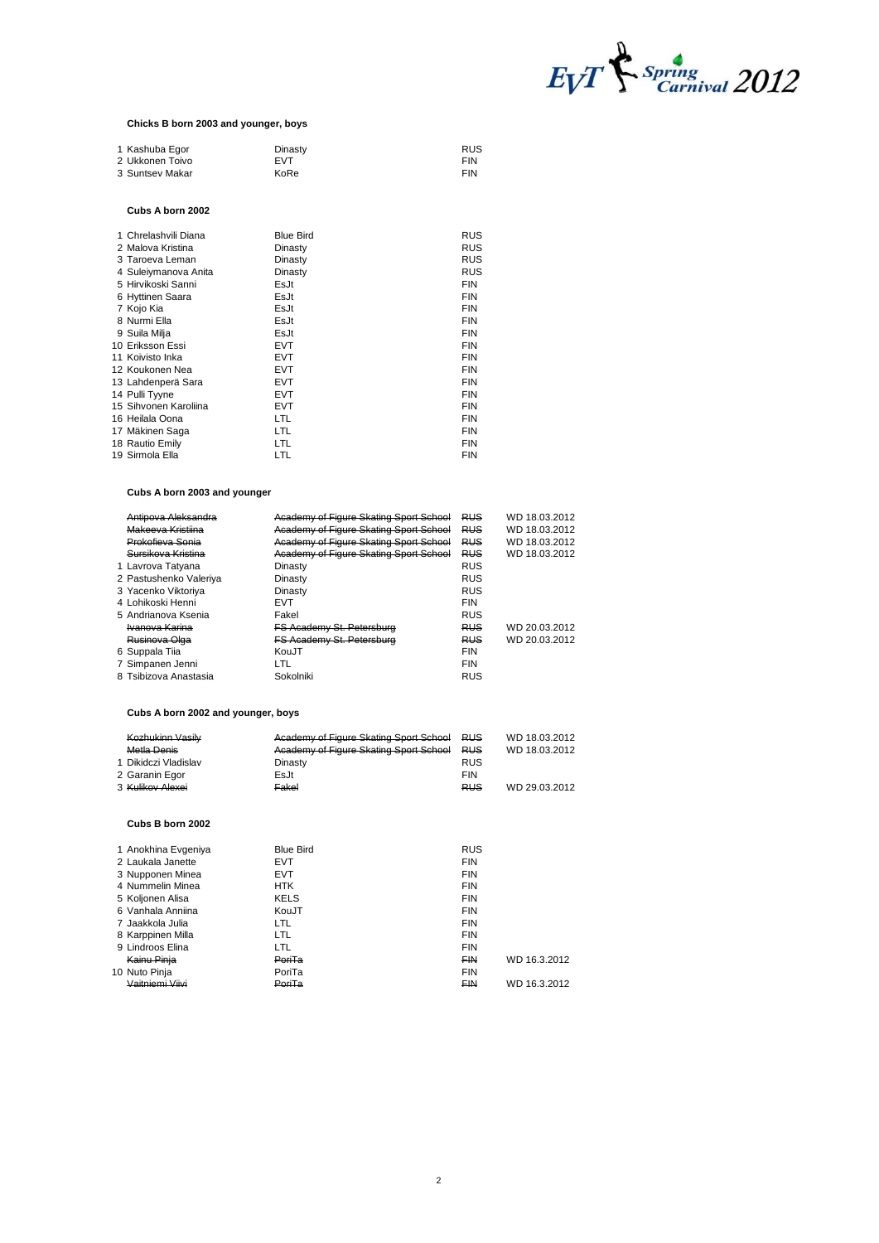

#### **Chicks B born 2003 and younger, boys**

| 1 Kashuba Egor  | Dinasty    | <b>RUS</b> |
|-----------------|------------|------------|
| 2 Ukkonen Toivo | <b>FVT</b> | <b>FIN</b> |
| 3 Suntsey Makar | KoRe       | <b>FIN</b> |

#### **Cubs A born 2002**

| 2 Malova Kristina<br><b>RUS</b><br>Dinasty        |  |
|---------------------------------------------------|--|
|                                                   |  |
| <b>RUS</b><br>3 Taroeva Leman<br>Dinasty          |  |
| <b>RUS</b><br>4 Suleiymanova Anita<br>Dinasty     |  |
| <b>FIN</b><br>EsJt<br>5 Hirvikoski Sanni          |  |
| <b>FIN</b><br>EsJt<br>6 Hyttinen Saara            |  |
| <b>FIN</b><br>EsJt<br>7 Kojo Kia                  |  |
| <b>FIN</b><br>8 Nurmi Ella<br>EsJt                |  |
| <b>FIN</b><br>EsJt<br>9 Suila Milja               |  |
| <b>FIN</b><br>10 Eriksson Essi<br><b>EVT</b>      |  |
| <b>FIN</b><br>11 Koivisto Inka<br><b>EVT</b>      |  |
| <b>EVT</b><br><b>FIN</b><br>12 Koukonen Nea       |  |
| <b>EVT</b><br><b>FIN</b><br>13 Lahdenperä Sara    |  |
| <b>EVT</b><br><b>FIN</b><br>14 Pulli Tyyne        |  |
| <b>FIN</b><br><b>EVT</b><br>15 Sihvonen Karoliina |  |
| LTL.<br><b>FIN</b><br>16 Heilala Oona             |  |
| LTL.<br><b>FIN</b><br>17 Mäkinen Saga             |  |
| <b>FIN</b><br>LTL.<br>18 Rautio Emily             |  |
| LTL<br><b>FIN</b><br>19 Sirmola Ella              |  |

# **Cubs A born 2003 and younger**

| Antipova Aleksandra    | Academy of Figure Skating Sport School | <b>RUS</b> | WD 18.03.2012 |
|------------------------|----------------------------------------|------------|---------------|
| Makeeva Kristiina      | Academy of Figure Skating Sport School | <b>RUS</b> | WD 18.03.2012 |
| Prokofieva Sonia       | Academy of Figure Skating Sport School | <b>RUS</b> | WD 18.03.2012 |
| Sursikova Kristina     | Academy of Figure Skating Sport School | <b>RUS</b> | WD 18.03.2012 |
| 1 Lavrova Tatyana      | Dinasty                                | <b>RUS</b> |               |
| 2 Pastushenko Valeriya | Dinasty                                | <b>RUS</b> |               |
| 3 Yacenko Viktoriva    | Dinasty                                | <b>RUS</b> |               |
| 4 Lohikoski Henni      | <b>EVT</b>                             | <b>FIN</b> |               |
| 5 Andrianova Ksenia    | Fakel                                  | <b>RUS</b> |               |
| Ivanova Karina         | FS Academy St. Petersburg              | <b>RUS</b> | WD 20.03.2012 |
| Rusinova Olga          | <b>FS Academy St. Petersburg</b>       | <b>RUS</b> | WD 20.03.2012 |
| 6 Suppala Tiia         | KouJT                                  | <b>FIN</b> |               |
| 7 Simpanen Jenni       | LTL                                    | <b>FIN</b> |               |
| 8 Tsibizova Anastasia  | Sokolniki                              | <b>RUS</b> |               |

# **Cubs A born 2002 and younger, boys**

| Kozhukinn Vasily            | Academy of Figure Skating Sport School RUS |            | WD 18.03.2012 |
|-----------------------------|--------------------------------------------|------------|---------------|
| Metla Denis                 | Academy of Figure Skating Sport School     | <b>RUS</b> | WD 18.03.2012 |
| 1 Dikidczi Vladislav        | Dinasty                                    | <b>RUS</b> |               |
| 2 Garanin Egor              | EsJt                                       | <b>FIN</b> |               |
| 3 <del>Kulikov Alexei</del> | Fakel                                      | <b>RUS</b> | WD 29.03.2012 |

#### **Cubs B born 2002**

| 1 Anokhina Evgeniya | <b>Blue Bird</b> | <b>RUS</b> |              |
|---------------------|------------------|------------|--------------|
| 2 Laukala Janette   | <b>EVT</b>       | <b>FIN</b> |              |
| 3 Nupponen Minea    | <b>EVT</b>       | <b>FIN</b> |              |
| 4 Nummelin Minea    | <b>HTK</b>       | <b>FIN</b> |              |
| 5 Koljonen Alisa    | <b>KELS</b>      | <b>FIN</b> |              |
| 6 Vanhala Anniina   | KouJT            | <b>FIN</b> |              |
| 7 Jaakkola Julia    | LTL              | <b>FIN</b> |              |
| 8 Karppinen Milla   | LTL              | <b>FIN</b> |              |
| 9 Lindroos Elina    | LTL              | <b>FIN</b> |              |
| Kainu Pinia         | PoriTa           | <b>FIN</b> | WD 16.3.2012 |
| 10 Nuto Pinja       | PoriTa           | <b>FIN</b> |              |
| Vaitniemi Viivi     | PoriTa           | <b>FIN</b> | WD 16.3.2012 |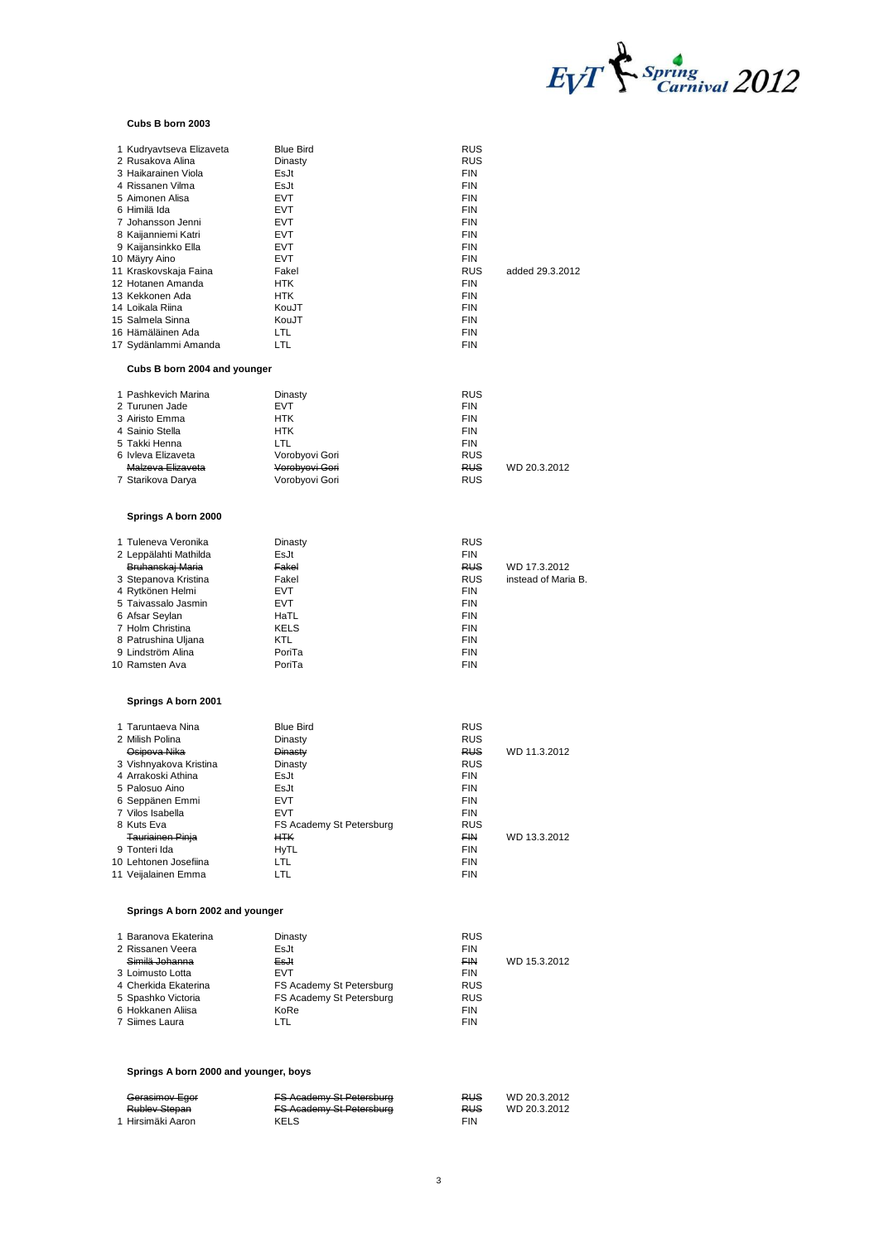

#### **Cubs B born 2003**

| 1 Kudryavtseva Elizaveta<br>2 Rusakova Alina<br>3 Haikarainen Viola<br>4 Rissanen Vilma<br>5 Aimonen Alisa<br>6 Himilä Ida<br>7 Johansson Jenni | <b>Blue Bird</b><br>Dinasty<br>EsJt<br>EsJt<br><b>EVT</b><br><b>EVT</b><br>EVT | <b>RUS</b><br>RUS<br>FIN<br>FIN<br>FIN<br><b>FIN</b><br><b>FIN</b> |                              |
|-------------------------------------------------------------------------------------------------------------------------------------------------|--------------------------------------------------------------------------------|--------------------------------------------------------------------|------------------------------|
| 8 Kaijanniemi Katri                                                                                                                             | <b>EVT</b>                                                                     | FIN                                                                |                              |
| 9 Kaijansinkko Ella                                                                                                                             | EVT                                                                            | <b>FIN</b>                                                         |                              |
| 10 Mäyry Aino                                                                                                                                   | <b>EVT</b>                                                                     | <b>FIN</b>                                                         |                              |
| 11 Kraskovskaja Faina<br>12 Hotanen Amanda                                                                                                      | Fakel<br><b>HTK</b>                                                            | RUS<br>FIN                                                         | added 29.3.2012              |
| 13 Kekkonen Ada                                                                                                                                 | <b>HTK</b>                                                                     | <b>FIN</b>                                                         |                              |
| 14 Loikala Riina                                                                                                                                | KouJT                                                                          | <b>FIN</b>                                                         |                              |
| 15 Salmela Sinna                                                                                                                                | KouJT                                                                          | <b>FIN</b>                                                         |                              |
| 16 Hämäläinen Ada                                                                                                                               | LTL                                                                            | <b>FIN</b>                                                         |                              |
| 17 Sydänlammi Amanda                                                                                                                            | LTL                                                                            | <b>FIN</b>                                                         |                              |
| Cubs B born 2004 and younger                                                                                                                    |                                                                                |                                                                    |                              |
| 1 Pashkevich Marina                                                                                                                             | Dinasty                                                                        | RUS                                                                |                              |
| 2 Turunen Jade                                                                                                                                  | <b>EVT</b>                                                                     | <b>FIN</b>                                                         |                              |
| 3 Airisto Emma<br>4 Sainio Stella                                                                                                               | <b>HTK</b><br>HTK                                                              | <b>FIN</b><br><b>FIN</b>                                           |                              |
| 5 Takki Henna                                                                                                                                   | LTL.                                                                           | <b>FIN</b>                                                         |                              |
| 6 Ivleva Elizaveta                                                                                                                              | Vorobyovi Gori                                                                 | RUS                                                                |                              |
| Malzeva Elizaveta                                                                                                                               | Vorobyovi Gori                                                                 | <b>RUS</b>                                                         | WD 20.3.2012                 |
| 7 Starikova Darya                                                                                                                               | Vorobyovi Gori                                                                 | RUS                                                                |                              |
| Springs A born 2000                                                                                                                             |                                                                                |                                                                    |                              |
| 1 Tuleneva Veronika                                                                                                                             | Dinasty                                                                        | RUS                                                                |                              |
| 2 Leppälahti Mathilda                                                                                                                           | EsJt                                                                           | <b>FIN</b>                                                         | WD 17.3.2012                 |
| Bruhanskaj Maria<br>3 Stepanova Kristina                                                                                                        | Fakel<br>Fakel                                                                 | RUS<br>RUS                                                         | instead of Maria B.          |
| 4 Rytkönen Helmi                                                                                                                                | <b>EVT</b>                                                                     | <b>FIN</b>                                                         |                              |
| 5 Taivassalo Jasmin                                                                                                                             | <b>EVT</b>                                                                     | <b>FIN</b>                                                         |                              |
| 6 Afsar Seylan                                                                                                                                  | HaTL                                                                           | <b>FIN</b>                                                         |                              |
| 7 Holm Christina<br>8 Patrushina Uljana                                                                                                         | KELS<br>KTL                                                                    | <b>FIN</b><br><b>FIN</b>                                           |                              |
| 9 Lindström Alina                                                                                                                               | PoriTa                                                                         | <b>FIN</b>                                                         |                              |
| 10 Ramsten Ava                                                                                                                                  | PoriTa                                                                         | <b>FIN</b>                                                         |                              |
|                                                                                                                                                 |                                                                                |                                                                    |                              |
| Springs A born 2001                                                                                                                             |                                                                                |                                                                    |                              |
|                                                                                                                                                 | <b>Blue Bird</b>                                                               | RUS                                                                |                              |
| 1 Taruntaeva Nina                                                                                                                               |                                                                                |                                                                    |                              |
| 2 Milish Polina                                                                                                                                 | Dinasty                                                                        | RUS                                                                |                              |
| Osipova Nika                                                                                                                                    | Dinasty                                                                        | <b>RUS</b>                                                         | WD 11.3.2012                 |
| 3 Vishnyakova Kristina                                                                                                                          | Dinasty                                                                        | RUS                                                                |                              |
| 4 Arrakoski Athina<br>5 Palosuo Aino                                                                                                            | EsJt<br>EsJt                                                                   | FIN<br>FIN                                                         |                              |
| 6 Seppanen Emmi                                                                                                                                 | EV I                                                                           | FIN                                                                |                              |
| 7 Vilos Isabella                                                                                                                                | <b>EVT</b>                                                                     | FIN                                                                |                              |
| 8 Kuts Eva                                                                                                                                      | FS Academy St Petersburg                                                       | RUS                                                                |                              |
| <b>Tauriainen Pinja</b><br>9 Tonteri Ida                                                                                                        | <b>HTK</b><br>HyTL                                                             | FIN<br>FIN                                                         | WD 13.3.2012                 |
| 10 Lehtonen Josefiina                                                                                                                           | LTL                                                                            | FIN                                                                |                              |
| 11 Veijalainen Emma                                                                                                                             | LTL                                                                            | <b>FIN</b>                                                         |                              |
| Springs A born 2002 and younger                                                                                                                 |                                                                                |                                                                    |                              |
| 1 Baranova Ekaterina                                                                                                                            | Dinasty                                                                        | RUS                                                                |                              |
| 2 Rissanen Veera                                                                                                                                | EsJt                                                                           | FIN                                                                |                              |
| Similä Johanna                                                                                                                                  | EsJt                                                                           | <b>FIN</b>                                                         | WD 15.3.2012                 |
| 3 Loimusto Lotta                                                                                                                                | <b>EVT</b>                                                                     | FIN                                                                |                              |
| 4 Cherkida Ekaterina                                                                                                                            | FS Academy St Petersburg                                                       | RUS<br><b>RUS</b>                                                  |                              |
| 5 Spashko Victoria<br>6 Hokkanen Aliisa                                                                                                         | FS Academy St Petersburg<br>KoRe                                               | FIN                                                                |                              |
| 7 Siimes Laura                                                                                                                                  | LTL                                                                            | <b>FIN</b>                                                         |                              |
| Springs A born 2000 and younger, boys                                                                                                           |                                                                                |                                                                    |                              |
|                                                                                                                                                 |                                                                                |                                                                    |                              |
| Gerasimov Egor<br><b>Rublev Stepan</b>                                                                                                          | <b>FS Academy St Petersburg</b><br><b>FS Academy St Petersburg</b>             | <b>RUS</b><br><b>RUS</b>                                           | WD 20.3.2012<br>WD 20.3.2012 |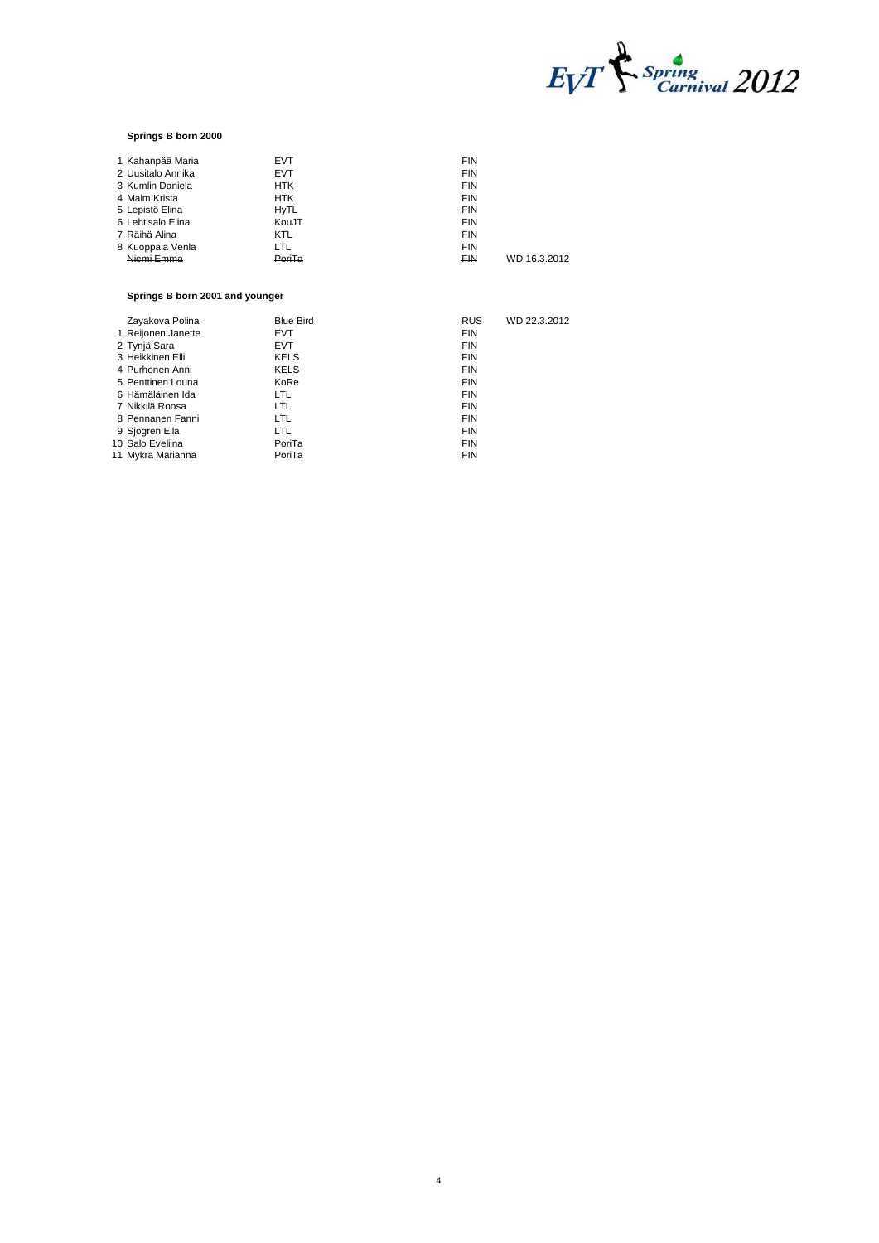

# **Springs B born 2000**

| <b>EVT</b>  | <b>FIN</b> |              |
|-------------|------------|--------------|
| <b>EVT</b>  | <b>FIN</b> |              |
| <b>HTK</b>  | <b>FIN</b> |              |
| <b>HTK</b>  | <b>FIN</b> |              |
| <b>HyTL</b> | <b>FIN</b> |              |
| KouJT       | <b>FIN</b> |              |
| <b>KTL</b>  | <b>FIN</b> |              |
| LTL         | <b>FIN</b> |              |
| PoriTa      | <b>FIN</b> | WD 16.3.2012 |
|             |            |              |

# **Springs B born 2001 and younger**

| <del>Zavakova Polina</del> | <b>Blue Bird</b> | RUS <sub></sub> | WD 22.3.2012 |
|----------------------------|------------------|-----------------|--------------|
| 1 Reijonen Janette         | <b>EVT</b>       | <b>FIN</b>      |              |
| 2 Tynjä Sara               | <b>EVT</b>       | <b>FIN</b>      |              |
| 3 Heikkinen Elli           | <b>KELS</b>      | <b>FIN</b>      |              |
| 4 Purhonen Anni            | <b>KELS</b>      | <b>FIN</b>      |              |
| 5 Penttinen Louna          | KoRe             | <b>FIN</b>      |              |
| 6 Hämäläinen Ida           | LTL              | <b>FIN</b>      |              |
| 7 Nikkilä Roosa            | LTL              | <b>FIN</b>      |              |
| 8 Pennanen Fanni           | LTL              | <b>FIN</b>      |              |
| 9 Sjögren Ella             | LTL              | <b>FIN</b>      |              |
| 10 Salo Eveliina           | PoriTa           | <b>FIN</b>      |              |
| 11 Mykrä Marianna          | PoriTa           | <b>FIN</b>      |              |